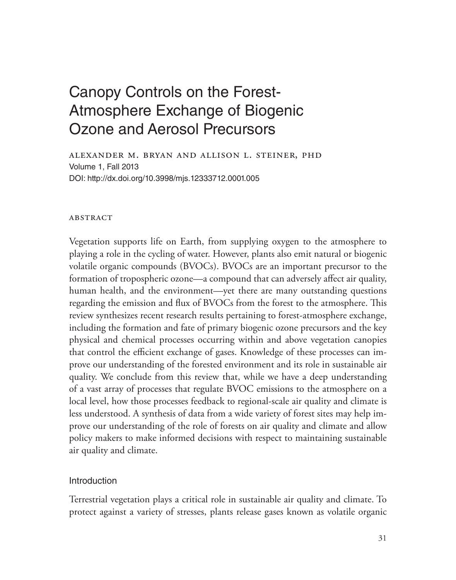# Canopy Controls on the Forest-Atmosphere Exchange of Biogenic Ozone and Aerosol Precursors

Alexander M. Bryan and Allison L. Steiner, PhD Volume 1, Fall 2013 DOI: http://dx.doi.org/10.3998/mjs.12333712.0001.005

# **ABSTRACT**

Vegetation supports life on Earth, from supplying oxygen to the atmosphere to playing a role in the cycling of water. However, plants also emit natural or biogenic volatile organic compounds (BVOCs). BVOCs are an important precursor to the formation of tropospheric ozone—a compound that can adversely affect air quality, human health, and the environment—yet there are many outstanding questions regarding the emission and flux of BVOCs from the forest to the atmosphere. This review synthesizes recent research results pertaining to forest-atmosphere exchange, including the formation and fate of primary biogenic ozone precursors and the key physical and chemical processes occurring within and above vegetation canopies that control the efficient exchange of gases. Knowledge of these processes can improve our understanding of the forested environment and its role in sustainable air quality. We conclude from this review that, while we have a deep understanding of a vast array of processes that regulate BVOC emissions to the atmosphere on a local level, how those processes feedback to regional-scale air quality and climate is less understood. A synthesis of data from a wide variety of forest sites may help improve our understanding of the role of forests on air quality and climate and allow policy makers to make informed decisions with respect to maintaining sustainable air quality and climate.

# Introduction

Terrestrial vegetation plays a critical role in sustainable air quality and climate. To protect against a variety of stresses, plants release gases known as volatile organic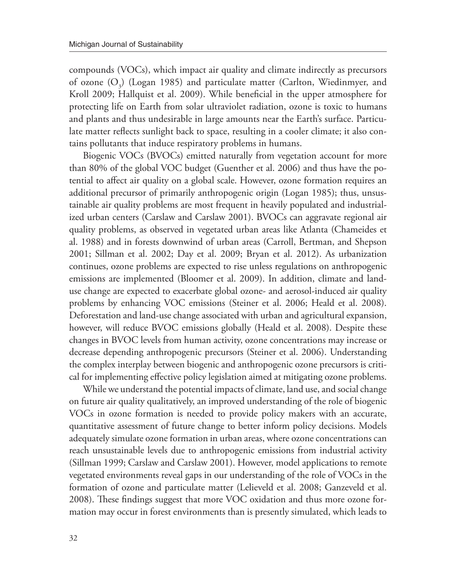compounds (VOCs), which impact air quality and climate indirectly as precursors of ozone  $(O_3)$  (Logan 1985) and particulate matter (Carlton, Wiedinmyer, and Kroll 2009; Hallquist et al. 2009). While beneficial in the upper atmosphere for protecting life on Earth from solar ultraviolet radiation, ozone is toxic to humans and plants and thus undesirable in large amounts near the Earth's surface. Particulate matter reflects sunlight back to space, resulting in a cooler climate; it also contains pollutants that induce respiratory problems in humans.

Biogenic VOCs (BVOCs) emitted naturally from vegetation account for more than 80% of the global VOC budget (Guenther et al. 2006) and thus have the potential to affect air quality on a global scale. However, ozone formation requires an additional precursor of primarily anthropogenic origin (Logan 1985); thus, unsustainable air quality problems are most frequent in heavily populated and industrialized urban centers (Carslaw and Carslaw 2001). BVOCs can aggravate regional air quality problems, as observed in vegetated urban areas like Atlanta (Chameides et al. 1988) and in forests downwind of urban areas (Carroll, Bertman, and Shepson 2001; Sillman et al. 2002; Day et al. 2009; Bryan et al. 2012). As urbanization continues, ozone problems are expected to rise unless regulations on anthropogenic emissions are implemented (Bloomer et al. 2009). In addition, climate and landuse change are expected to exacerbate global ozone- and aerosol-induced air quality problems by enhancing VOC emissions (Steiner et al. 2006; Heald et al. 2008). Deforestation and land-use change associated with urban and agricultural expansion, however, will reduce BVOC emissions globally (Heald et al. 2008). Despite these changes in BVOC levels from human activity, ozone concentrations may increase or decrease depending anthropogenic precursors (Steiner et al. 2006). Understanding the complex interplay between biogenic and anthropogenic ozone precursors is critical for implementing effective policy legislation aimed at mitigating ozone problems.

While we understand the potential impacts of climate, land use, and social change on future air quality qualitatively, an improved understanding of the role of biogenic VOCs in ozone formation is needed to provide policy makers with an accurate, quantitative assessment of future change to better inform policy decisions. Models adequately simulate ozone formation in urban areas, where ozone concentrations can reach unsustainable levels due to anthropogenic emissions from industrial activity (Sillman 1999; Carslaw and Carslaw 2001). However, model applications to remote vegetated environments reveal gaps in our understanding of the role of VOCs in the formation of ozone and particulate matter (Lelieveld et al. 2008; Ganzeveld et al. 2008). These findings suggest that more VOC oxidation and thus more ozone formation may occur in forest environments than is presently simulated, which leads to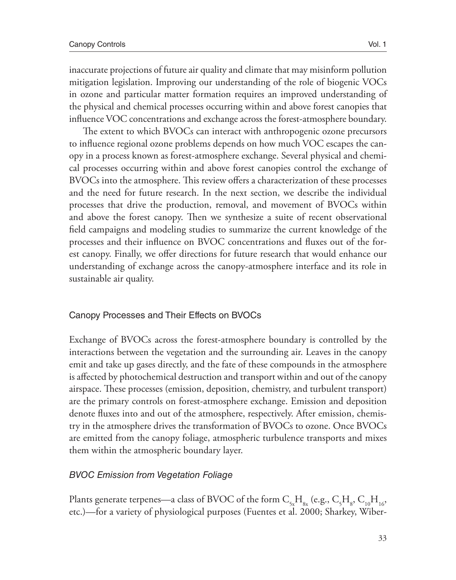inaccurate projections of future air quality and climate that may misinform pollution mitigation legislation. Improving our understanding of the role of biogenic VOCs in ozone and particular matter formation requires an improved understanding of the physical and chemical processes occurring within and above forest canopies that influence VOC concentrations and exchange across the forest-atmosphere boundary.

The extent to which BVOCs can interact with anthropogenic ozone precursors to influence regional ozone problems depends on how much VOC escapes the canopy in a process known as forest-atmosphere exchange. Several physical and chemical processes occurring within and above forest canopies control the exchange of BVOCs into the atmosphere. This review offers a characterization of these processes and the need for future research. In the next section, we describe the individual processes that drive the production, removal, and movement of BVOCs within and above the forest canopy. Then we synthesize a suite of recent observational field campaigns and modeling studies to summarize the current knowledge of the processes and their influence on BVOC concentrations and fluxes out of the forest canopy. Finally, we offer directions for future research that would enhance our understanding of exchange across the canopy-atmosphere interface and its role in sustainable air quality.

# Canopy Processes and Their Effects on BVOCs

Exchange of BVOCs across the forest-atmosphere boundary is controlled by the interactions between the vegetation and the surrounding air. Leaves in the canopy emit and take up gases directly, and the fate of these compounds in the atmosphere is affected by photochemical destruction and transport within and out of the canopy airspace. These processes (emission, deposition, chemistry, and turbulent transport) are the primary controls on forest-atmosphere exchange. Emission and deposition denote fluxes into and out of the atmosphere, respectively. After emission, chemistry in the atmosphere drives the transformation of BVOCs to ozone. Once BVOCs are emitted from the canopy foliage, atmospheric turbulence transports and mixes them within the atmospheric boundary layer.

# *BVOC Emission from Vegetation Foliage*

Plants generate terpenes—a class of BVOC of the form  $\rm C_{5x}H_{8x}$  (e.g.,  $\rm C_{5}H_{8}$ ,  $\rm C_{10}H_{16}$ , etc.)—for a variety of physiological purposes (Fuentes et al. 2000; Sharkey, Wiber-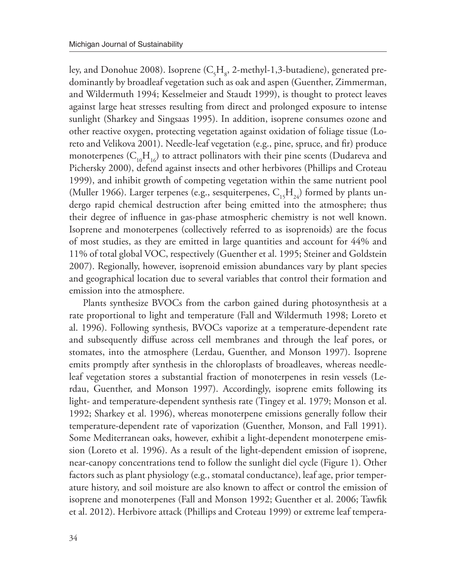ley, and Donohue 2008). Isoprene ( $\rm C_{\rm 5H_{\rm 8}}$ , 2-methyl-1,3-butadiene), generated predominantly by broadleaf vegetation such as oak and aspen (Guenther, Zimmerman, and Wildermuth 1994; Kesselmeier and Staudt 1999), is thought to protect leaves against large heat stresses resulting from direct and prolonged exposure to intense sunlight (Sharkey and Singsaas 1995). In addition, isoprene consumes ozone and other reactive oxygen, protecting vegetation against oxidation of foliage tissue (Loreto and Velikova 2001). Needle-leaf vegetation (e.g., pine, spruce, and fir) produce monoterpenes  $(C_{10}H_{16})$  to attract pollinators with their pine scents (Dudareva and Pichersky 2000), defend against insects and other herbivores (Phillips and Croteau 1999), and inhibit growth of competing vegetation within the same nutrient pool (Muller 1966). Larger terpenes (e.g., sesquiterpenes,  $C_{15}H_{24}$ ) formed by plants undergo rapid chemical destruction after being emitted into the atmosphere; thus their degree of influence in gas-phase atmospheric chemistry is not well known. Isoprene and monoterpenes (collectively referred to as isoprenoids) are the focus of most studies, as they are emitted in large quantities and account for 44% and 11% of total global VOC, respectively (Guenther et al. 1995; Steiner and Goldstein 2007). Regionally, however, isoprenoid emission abundances vary by plant species and geographical location due to several variables that control their formation and emission into the atmosphere.

Plants synthesize BVOCs from the carbon gained during photosynthesis at a rate proportional to light and temperature (Fall and Wildermuth 1998; Loreto et al. 1996). Following synthesis, BVOCs vaporize at a temperature-dependent rate and subsequently diffuse across cell membranes and through the leaf pores, or stomates, into the atmosphere (Lerdau, Guenther, and Monson 1997). Isoprene emits promptly after synthesis in the chloroplasts of broadleaves, whereas needleleaf vegetation stores a substantial fraction of monoterpenes in resin vessels (Lerdau, Guenther, and Monson 1997). Accordingly, isoprene emits following its light- and temperature-dependent synthesis rate (Tingey et al. 1979; Monson et al. 1992; Sharkey et al. 1996), whereas monoterpene emissions generally follow their temperature-dependent rate of vaporization (Guenther, Monson, and Fall 1991). Some Mediterranean oaks, however, exhibit a light-dependent monoterpene emission (Loreto et al. 1996). As a result of the light-dependent emission of isoprene, near-canopy concentrations tend to follow the sunlight diel cycle (Figure 1). Other factors such as plant physiology (e.g., stomatal conductance), leaf age, prior temperature history, and soil moisture are also known to affect or control the emission of isoprene and monoterpenes (Fall and Monson 1992; Guenther et al. 2006; Tawfik et al. 2012). Herbivore attack (Phillips and Croteau 1999) or extreme leaf tempera-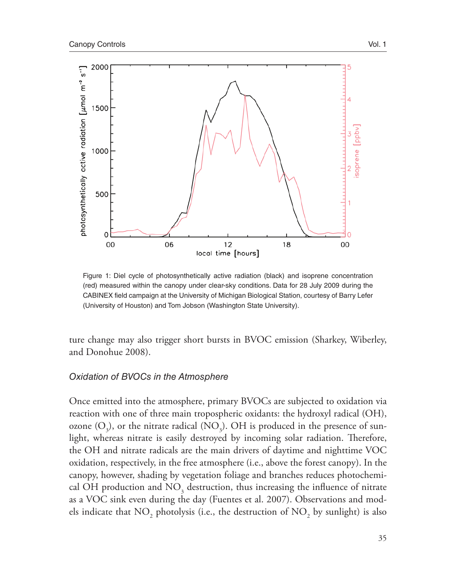

Figure 1: Diel cycle of photosynthetically active radiation (black) and isoprene concentration (red) measured within the canopy under clear-sky conditions. Data for 28 July 2009 during the CABINEX field campaign at the University of Michigan Biological Station, courtesy of Barry Lefer (University of Houston) and Tom Jobson (Washington State University).

ture change may also trigger short bursts in BVOC emission (Sharkey, Wiberley, and Donohue 2008).

#### *Oxidation of BVOCs in the Atmosphere*

Once emitted into the atmosphere, primary BVOCs are subjected to oxidation via reaction with one of three main tropospheric oxidants: the hydroxyl radical (OH), ozone  $(O_3)$ , or the nitrate radical  $(\mathrm{NO}_3)$ . OH is produced in the presence of sunlight, whereas nitrate is easily destroyed by incoming solar radiation. Therefore, the OH and nitrate radicals are the main drivers of daytime and nighttime VOC oxidation, respectively, in the free atmosphere (i.e., above the forest canopy). In the canopy, however, shading by vegetation foliage and branches reduces photochemical OH production and  $\mathrm{NO}_3^{}$  destruction, thus increasing the influence of nitrate as a VOC sink even during the day (Fuentes et al. 2007). Observations and models indicate that  $\mathrm{NO}_2$  photolysis (i.e., the destruction of  $\mathrm{NO}_2$  by sunlight) is also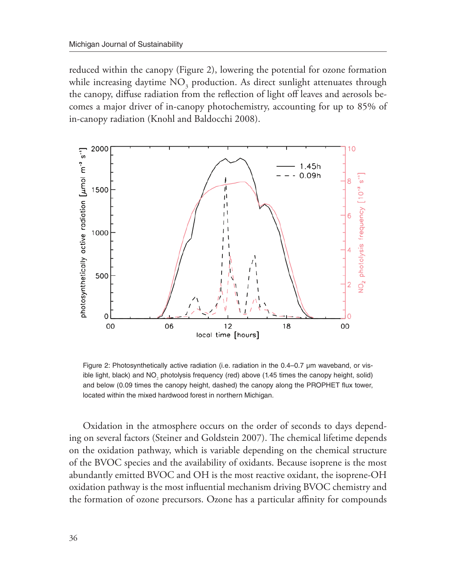reduced within the canopy (Figure 2), lowering the potential for ozone formation while increasing daytime  $\mathrm{NO}_3^{}$  production. As direct sunlight attenuates through the canopy, diffuse radiation from the reflection of light off leaves and aerosols becomes a major driver of in-canopy photochemistry, accounting for up to 85% of in-canopy radiation (Knohl and Baldocchi 2008).



Figure 2: Photosynthetically active radiation (i.e. radiation in the 0.4–0.7 µm waveband, or visible light, black) and NO<sub>2</sub> photolysis frequency (red) above (1.45 times the canopy height, solid) and below (0.09 times the canopy height, dashed) the canopy along the PROPHET flux tower, located within the mixed hardwood forest in northern Michigan.

Oxidation in the atmosphere occurs on the order of seconds to days depending on several factors (Steiner and Goldstein 2007). The chemical lifetime depends on the oxidation pathway, which is variable depending on the chemical structure of the BVOC species and the availability of oxidants. Because isoprene is the most abundantly emitted BVOC and OH is the most reactive oxidant, the isoprene-OH oxidation pathway is the most influential mechanism driving BVOC chemistry and the formation of ozone precursors. Ozone has a particular affinity for compounds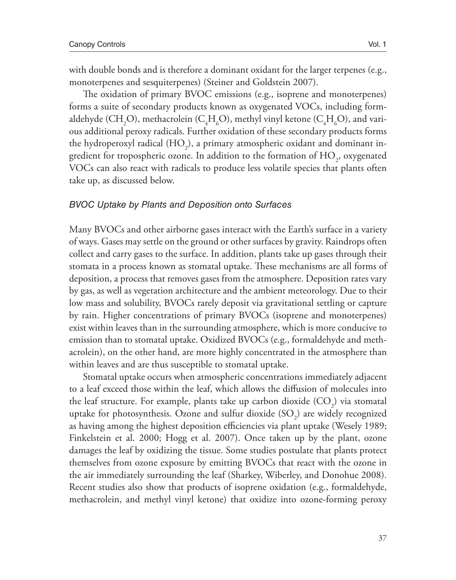with double bonds and is therefore a dominant oxidant for the larger terpenes (e.g., monoterpenes and sesquiterpenes) (Steiner and Goldstein 2007).

The oxidation of primary BVOC emissions (e.g., isoprene and monoterpenes) forms a suite of secondary products known as oxygenated VOCs, including formaldehyde (CH<sub>2</sub>O), methacrolein (C<sub>4</sub>H<sub>6</sub>O), methyl vinyl ketone (C<sub>4</sub>H<sub>6</sub>O), and various additional peroxy radicals. Further oxidation of these secondary products forms the hydroperoxyl radical (HO<sub>2</sub>), a primary atmospheric oxidant and dominant ingredient for tropospheric ozone. In addition to the formation of  $\mathrm{HO}_2^{}$ , oxygenated VOCs can also react with radicals to produce less volatile species that plants often take up, as discussed below.

#### *BVOC Uptake by Plants and Deposition onto Surfaces*

Many BVOCs and other airborne gases interact with the Earth's surface in a variety of ways. Gases may settle on the ground or other surfaces by gravity. Raindrops often collect and carry gases to the surface. In addition, plants take up gases through their stomata in a process known as stomatal uptake. These mechanisms are all forms of deposition, a process that removes gases from the atmosphere. Deposition rates vary by gas, as well as vegetation architecture and the ambient meteorology. Due to their low mass and solubility, BVOCs rarely deposit via gravitational settling or capture by rain. Higher concentrations of primary BVOCs (isoprene and monoterpenes) exist within leaves than in the surrounding atmosphere, which is more conducive to emission than to stomatal uptake. Oxidized BVOCs (e.g., formaldehyde and methacrolein), on the other hand, are more highly concentrated in the atmosphere than within leaves and are thus susceptible to stomatal uptake.

Stomatal uptake occurs when atmospheric concentrations immediately adjacent to a leaf exceed those within the leaf, which allows the diffusion of molecules into the leaf structure. For example, plants take up carbon dioxide  $({\rm CO}_2)$  via stomatal uptake for photosynthesis. Ozone and sulfur dioxide  $\mathrm{(SO}_2)$  are widely recognized as having among the highest deposition efficiencies via plant uptake (Wesely 1989; Finkelstein et al. 2000; Hogg et al. 2007). Once taken up by the plant, ozone damages the leaf by oxidizing the tissue. Some studies postulate that plants protect themselves from ozone exposure by emitting BVOCs that react with the ozone in the air immediately surrounding the leaf (Sharkey, Wiberley, and Donohue 2008). Recent studies also show that products of isoprene oxidation (e.g., formaldehyde, methacrolein, and methyl vinyl ketone) that oxidize into ozone-forming peroxy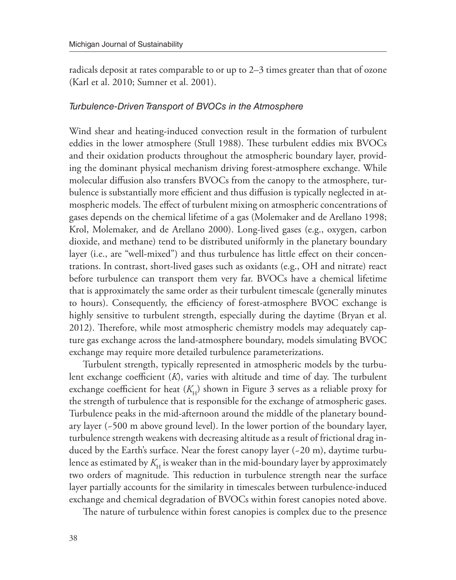radicals deposit at rates comparable to or up to 2–3 times greater than that of ozone (Karl et al. 2010; Sumner et al. 2001).

### *Turbulence-Driven Transport of BVOCs in the Atmosphere*

Wind shear and heating-induced convection result in the formation of turbulent eddies in the lower atmosphere (Stull 1988). These turbulent eddies mix BVOCs and their oxidation products throughout the atmospheric boundary layer, providing the dominant physical mechanism driving forest-atmosphere exchange. While molecular diffusion also transfers BVOCs from the canopy to the atmosphere, turbulence is substantially more efficient and thus diffusion is typically neglected in atmospheric models. The effect of turbulent mixing on atmospheric concentrations of gases depends on the chemical lifetime of a gas (Molemaker and de Arellano 1998; Krol, Molemaker, and de Arellano 2000). Long-lived gases (e.g., oxygen, carbon dioxide, and methane) tend to be distributed uniformly in the planetary boundary layer (i.e., are "well-mixed") and thus turbulence has little effect on their concentrations. In contrast, short-lived gases such as oxidants (e.g., OH and nitrate) react before turbulence can transport them very far. BVOCs have a chemical lifetime that is approximately the same order as their turbulent timescale (generally minutes to hours). Consequently, the efficiency of forest-atmosphere BVOC exchange is highly sensitive to turbulent strength, especially during the daytime (Bryan et al. 2012). Therefore, while most atmospheric chemistry models may adequately capture gas exchange across the land-atmosphere boundary, models simulating BVOC exchange may require more detailed turbulence parameterizations.

Turbulent strength, typically represented in atmospheric models by the turbulent exchange coefficient (*K*), varies with altitude and time of day. The turbulent exchange coefficient for heat  $(K_H)$  shown in Figure 3 serves as a reliable proxy for the strength of turbulence that is responsible for the exchange of atmospheric gases. Turbulence peaks in the mid-afternoon around the middle of the planetary boundary layer (~500 m above ground level). In the lower portion of the boundary layer, turbulence strength weakens with decreasing altitude as a result of frictional drag induced by the Earth's surface. Near the forest canopy layer (~20 m), daytime turbulence as estimated by  $K_{\rm H}$  is weaker than in the mid-boundary layer by approximately two orders of magnitude. This reduction in turbulence strength near the surface layer partially accounts for the similarity in timescales between turbulence-induced exchange and chemical degradation of BVOCs within forest canopies noted above.

The nature of turbulence within forest canopies is complex due to the presence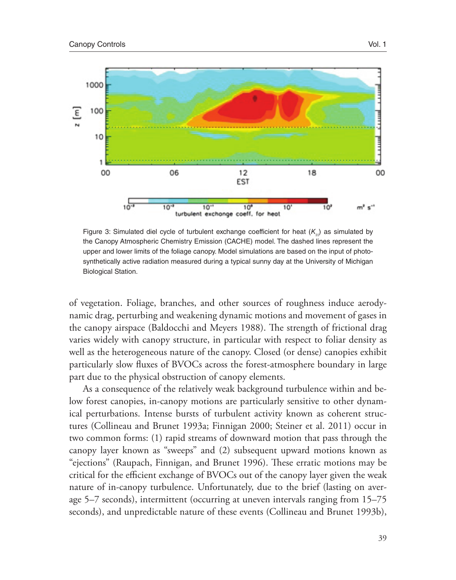

Figure 3: Simulated diel cycle of turbulent exchange coefficient for heat  $(K_{H})$  as simulated by the Canopy Atmospheric Chemistry Emission (CACHE) model. The dashed lines represent the upper and lower limits of the foliage canopy. Model simulations are based on the input of photosynthetically active radiation measured during a typical sunny day at the University of Michigan Biological Station.

of vegetation. Foliage, branches, and other sources of roughness induce aerodynamic drag, perturbing and weakening dynamic motions and movement of gases in the canopy airspace (Baldocchi and Meyers 1988). The strength of frictional drag varies widely with canopy structure, in particular with respect to foliar density as well as the heterogeneous nature of the canopy. Closed (or dense) canopies exhibit particularly slow fluxes of BVOCs across the forest-atmosphere boundary in large part due to the physical obstruction of canopy elements.

As a consequence of the relatively weak background turbulence within and below forest canopies, in-canopy motions are particularly sensitive to other dynamical perturbations. Intense bursts of turbulent activity known as coherent structures (Collineau and Brunet 1993a; Finnigan 2000; Steiner et al. 2011) occur in two common forms: (1) rapid streams of downward motion that pass through the canopy layer known as "sweeps" and (2) subsequent upward motions known as "ejections" (Raupach, Finnigan, and Brunet 1996). These erratic motions may be critical for the efficient exchange of BVOCs out of the canopy layer given the weak nature of in-canopy turbulence. Unfortunately, due to the brief (lasting on average 5–7 seconds), intermittent (occurring at uneven intervals ranging from 15–75 seconds), and unpredictable nature of these events (Collineau and Brunet 1993b),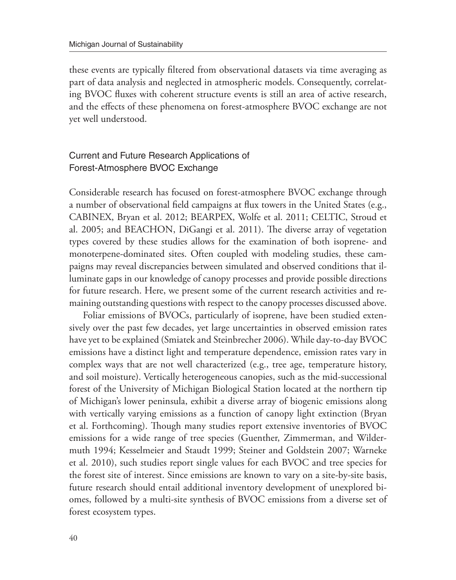these events are typically filtered from observational datasets via time averaging as part of data analysis and neglected in atmospheric models. Consequently, correlating BVOC fluxes with coherent structure events is still an area of active research, and the effects of these phenomena on forest-atmosphere BVOC exchange are not yet well understood.

# Current and Future Research Applications of Forest-Atmosphere BVOC Exchange

Considerable research has focused on forest-atmosphere BVOC exchange through a number of observational field campaigns at flux towers in the United States (e.g., CABINEX, Bryan et al. 2012; BEARPEX, Wolfe et al. 2011; CELTIC, Stroud et al. 2005; and BEACHON, DiGangi et al. 2011). The diverse array of vegetation types covered by these studies allows for the examination of both isoprene- and monoterpene-dominated sites. Often coupled with modeling studies, these campaigns may reveal discrepancies between simulated and observed conditions that illuminate gaps in our knowledge of canopy processes and provide possible directions for future research. Here, we present some of the current research activities and remaining outstanding questions with respect to the canopy processes discussed above.

Foliar emissions of BVOCs, particularly of isoprene, have been studied extensively over the past few decades, yet large uncertainties in observed emission rates have yet to be explained (Smiatek and Steinbrecher 2006). While day-to-day BVOC emissions have a distinct light and temperature dependence, emission rates vary in complex ways that are not well characterized (e.g., tree age, temperature history, and soil moisture). Vertically heterogeneous canopies, such as the mid-successional forest of the University of Michigan Biological Station located at the northern tip of Michigan's lower peninsula, exhibit a diverse array of biogenic emissions along with vertically varying emissions as a function of canopy light extinction (Bryan et al. Forthcoming). Though many studies report extensive inventories of BVOC emissions for a wide range of tree species (Guenther, Zimmerman, and Wildermuth 1994; Kesselmeier and Staudt 1999; Steiner and Goldstein 2007; Warneke et al. 2010), such studies report single values for each BVOC and tree species for the forest site of interest. Since emissions are known to vary on a site-by-site basis, future research should entail additional inventory development of unexplored biomes, followed by a multi-site synthesis of BVOC emissions from a diverse set of forest ecosystem types.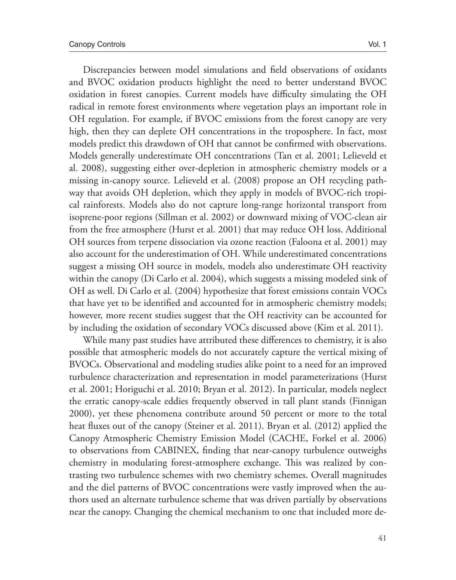Discrepancies between model simulations and field observations of oxidants and BVOC oxidation products highlight the need to better understand BVOC oxidation in forest canopies. Current models have difficulty simulating the OH radical in remote forest environments where vegetation plays an important role in OH regulation. For example, if BVOC emissions from the forest canopy are very high, then they can deplete OH concentrations in the troposphere. In fact, most models predict this drawdown of OH that cannot be confirmed with observations. Models generally underestimate OH concentrations (Tan et al. 2001; Lelieveld et al. 2008), suggesting either over-depletion in atmospheric chemistry models or a missing in-canopy source. Lelieveld et al. (2008) propose an OH recycling pathway that avoids OH depletion, which they apply in models of BVOC-rich tropical rainforests. Models also do not capture long-range horizontal transport from isoprene-poor regions (Sillman et al. 2002) or downward mixing of VOC-clean air from the free atmosphere (Hurst et al. 2001) that may reduce OH loss. Additional OH sources from terpene dissociation via ozone reaction (Faloona et al. 2001) may also account for the underestimation of OH. While underestimated concentrations suggest a missing OH source in models, models also underestimate OH reactivity within the canopy (Di Carlo et al. 2004), which suggests a missing modeled sink of OH as well. Di Carlo et al. (2004) hypothesize that forest emissions contain VOCs that have yet to be identified and accounted for in atmospheric chemistry models; however, more recent studies suggest that the OH reactivity can be accounted for by including the oxidation of secondary VOCs discussed above (Kim et al. 2011).

While many past studies have attributed these differences to chemistry, it is also possible that atmospheric models do not accurately capture the vertical mixing of BVOCs. Observational and modeling studies alike point to a need for an improved turbulence characterization and representation in model parameterizations (Hurst et al. 2001; Horiguchi et al. 2010; Bryan et al. 2012). In particular, models neglect the erratic canopy-scale eddies frequently observed in tall plant stands (Finnigan 2000), yet these phenomena contribute around 50 percent or more to the total heat fluxes out of the canopy (Steiner et al. 2011). Bryan et al. (2012) applied the Canopy Atmospheric Chemistry Emission Model (CACHE, Forkel et al. 2006) to observations from CABINEX, finding that near-canopy turbulence outweighs chemistry in modulating forest-atmosphere exchange. This was realized by contrasting two turbulence schemes with two chemistry schemes. Overall magnitudes and the diel patterns of BVOC concentrations were vastly improved when the authors used an alternate turbulence scheme that was driven partially by observations near the canopy. Changing the chemical mechanism to one that included more de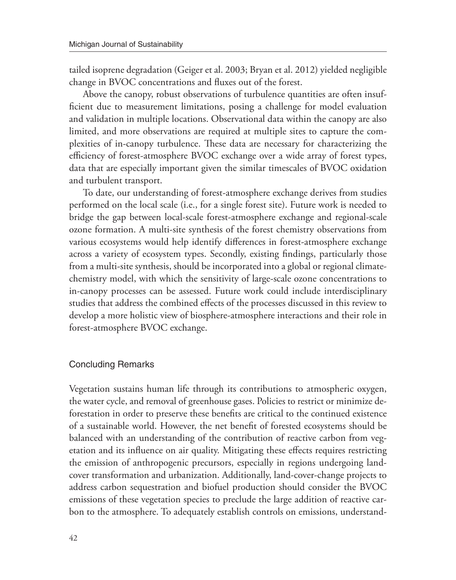tailed isoprene degradation (Geiger et al. 2003; Bryan et al. 2012) yielded negligible change in BVOC concentrations and fluxes out of the forest.

Above the canopy, robust observations of turbulence quantities are often insufficient due to measurement limitations, posing a challenge for model evaluation and validation in multiple locations. Observational data within the canopy are also limited, and more observations are required at multiple sites to capture the complexities of in-canopy turbulence. These data are necessary for characterizing the efficiency of forest-atmosphere BVOC exchange over a wide array of forest types, data that are especially important given the similar timescales of BVOC oxidation and turbulent transport.

To date, our understanding of forest-atmosphere exchange derives from studies performed on the local scale (i.e., for a single forest site). Future work is needed to bridge the gap between local-scale forest-atmosphere exchange and regional-scale ozone formation. A multi-site synthesis of the forest chemistry observations from various ecosystems would help identify differences in forest-atmosphere exchange across a variety of ecosystem types. Secondly, existing findings, particularly those from a multi-site synthesis, should be incorporated into a global or regional climatechemistry model, with which the sensitivity of large-scale ozone concentrations to in-canopy processes can be assessed. Future work could include interdisciplinary studies that address the combined effects of the processes discussed in this review to develop a more holistic view of biosphere-atmosphere interactions and their role in forest-atmosphere BVOC exchange.

#### Concluding Remarks

Vegetation sustains human life through its contributions to atmospheric oxygen, the water cycle, and removal of greenhouse gases. Policies to restrict or minimize deforestation in order to preserve these benefits are critical to the continued existence of a sustainable world. However, the net benefit of forested ecosystems should be balanced with an understanding of the contribution of reactive carbon from vegetation and its influence on air quality. Mitigating these effects requires restricting the emission of anthropogenic precursors, especially in regions undergoing landcover transformation and urbanization. Additionally, land-cover-change projects to address carbon sequestration and biofuel production should consider the BVOC emissions of these vegetation species to preclude the large addition of reactive carbon to the atmosphere. To adequately establish controls on emissions, understand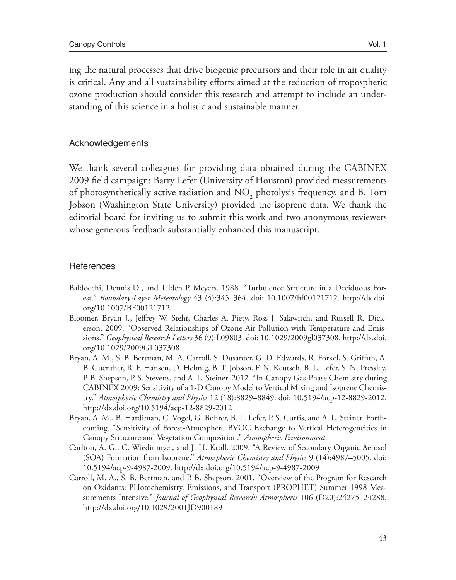ing the natural processes that drive biogenic precursors and their role in air quality is critical. Any and all sustainability efforts aimed at the reduction of tropospheric ozone production should consider this research and attempt to include an understanding of this science in a holistic and sustainable manner.

# Acknowledgements

We thank several colleagues for providing data obtained during the CABINEX 2009 field campaign: Barry Lefer (University of Houston) provided measurements of photosynthetically active radiation and  $\mathrm{NO}_2$  photolysis frequency, and B. Tom Jobson (Washington State University) provided the isoprene data. We thank the editorial board for inviting us to submit this work and two anonymous reviewers whose generous feedback substantially enhanced this manuscript.

# **References**

- Baldocchi, Dennis D., and Tilden P. Meyers. 1988. "Turbulence Structure in a Deciduous Forest." *Boundary-Layer Meteorology* 43 (4):345–364. doi: 10.1007/bf00121712. http://dx.doi. org/10.1007/BF00121712
- Bloomer, Bryan J., Jeffrey W. Stehr, Charles A. Piety, Ross J. Salawitch, and Russell R. Dickerson. 2009. "Observed Relationships of Ozone Air Pollution with Temperature and Emissions." *Geophysical Research Letters* 36 (9):L09803. doi: 10.1029/2009gl037308. http://dx.doi. org/10.1029/2009GL037308
- Bryan, A. M., S. B. Bertman, M. A. Carroll, S. Dusanter, G. D. Edwards, R. Forkel, S. Griffith, A. B. Guenther, R. F. Hansen, D. Helmig, B. T. Jobson, F. N. Keutsch, B. L. Lefer, S. N. Pressley, P. B. Shepson, P. S. Stevens, and A. L. Steiner. 2012. "In-Canopy Gas-Phase Chemistry during CABINEX 2009: Sensitivity of a 1-D Canopy Model to Vertical Mixing and Isoprene Chemistry." *Atmospheric Chemistry and Physics* 12 (18):8829–8849. doi: 10.5194/acp-12-8829-2012. http://dx.doi.org/10.5194/acp-12-8829-2012
- Bryan, A. M., B. Hardiman, C. Vogel, G. Bohrer, B. L. Lefer, P. S. Curtis, and A. L. Steiner. Forthcoming. "Sensitivity of Forest-Atmosphere BVOC Exchange to Vertical Heterogeneities in Canopy Structure and Vegetation Composition." *Atmospheric Environment*.
- Carlton, A. G., C. Wiedinmyer, and J. H. Kroll. 2009. "A Review of Secondary Organic Aerosol (SOA) Formation from Isoprene." *Atmospheric Chemistry and Physics* 9 (14):4987–5005. doi: 10.5194/acp-9-4987-2009. http://dx.doi.org/10.5194/acp-9-4987-2009
- Carroll, M. A., S. B. Bertman, and P. B. Shepson. 2001. "Overview of the Program for Research on Oxidants: PHotochemistry, Emissions, and Transport (PROPHET) Summer 1998 Measurements Intensive." *Journal of Geophysical Research: Atmospheres* 106 (D20):24275–24288. http://dx.doi.org/10.1029/2001JD900189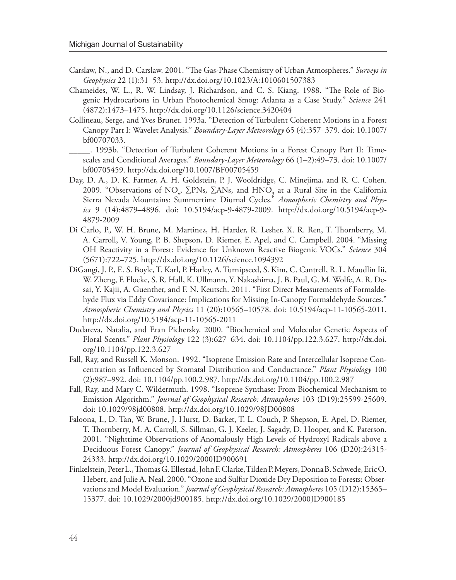- Carslaw, N., and D. Carslaw. 2001. "The Gas-Phase Chemistry of Urban Atmospheres." *Surveys in Geophysics* 22 (1):31–53. http://dx.doi.org/10.1023/A:1010601507383
- Chameides, W. L., R. W. Lindsay, J. Richardson, and C. S. Kiang. 1988. "The Role of Biogenic Hydrocarbons in Urban Photochemical Smog: Atlanta as a Case Study." *Science* 241 (4872):1473–1475. http://dx.doi.org/10.1126/science.3420404
- Collineau, Serge, and Yves Brunet. 1993a. "Detection of Turbulent Coherent Motions in a Forest Canopy Part I: Wavelet Analysis." *Boundary-Layer Meteorology* 65 (4):357–379. doi: 10.1007/ bf00707033.
- \_\_\_\_\_. 1993b. "Detection of Turbulent Coherent Motions in a Forest Canopy Part II: Timescales and Conditional Averages." *Boundary-Layer Meteorology* 66 (1–2):49–73. doi: 10.1007/ bf00705459. http://dx.doi.org/10.1007/BF00705459
- Day, D. A., D. K. Farmer, A. H. Goldstein, P. J. Wooldridge, C. Minejima, and R. C. Cohen. 2009. "Observations of NO<sub>x</sub>, ∑PNs, ∑ANs, and HNO<sub>3</sub> at a Rural Site in the California Sierra Nevada Mountains: Summertime Diurnal Cycles." *Atmospheric Chemistry and Physics* 9 (14):4879–4896. doi: 10.5194/acp-9-4879-2009. http://dx.doi.org/10.5194/acp-9- 4879-2009
- Di Carlo, P., W. H. Brune, M. Martinez, H. Harder, R. Lesher, X. R. Ren, T. Thornberry, M. A. Carroll, V. Young, P. B. Shepson, D. Riemer, E. Apel, and C. Campbell. 2004. "Missing OH Reactivity in a Forest: Evidence for Unknown Reactive Biogenic VOCs." *Science* 304 (5671):722–725. http://dx.doi.org/10.1126/science.1094392
- DiGangi, J. P., E. S. Boyle, T. Karl, P. Harley, A. Turnipseed, S. Kim, C. Cantrell, R. L. Maudlin Iii, W. Zheng, F. Flocke, S. R. Hall, K. Ullmann, Y. Nakashima, J. B. Paul, G. M. Wolfe, A. R. Desai, Y. Kajii, A. Guenther, and F. N. Keutsch. 2011. "First Direct Measurements of Formaldehyde Flux via Eddy Covariance: Implications for Missing In-Canopy Formaldehyde Sources." *Atmospheric Chemistry and Physics* 11 (20):10565–10578. doi: 10.5194/acp-11-10565-2011. http://dx.doi.org/10.5194/acp-11-10565-2011
- Dudareva, Natalia, and Eran Pichersky. 2000. "Biochemical and Molecular Genetic Aspects of Floral Scents." *Plant Physiology* 122 (3):627–634. doi: 10.1104/pp.122.3.627. http://dx.doi. org/10.1104/pp.122.3.627
- Fall, Ray, and Russell K. Monson. 1992. "Isoprene Emission Rate and Intercellular Isoprene Concentration as Influenced by Stomatal Distribution and Conductance." *Plant Physiology* 100 (2):987–992. doi: 10.1104/pp.100.2.987. http://dx.doi.org/10.1104/pp.100.2.987
- Fall, Ray, and Mary C. Wildermuth. 1998. "Isoprene Synthase: From Biochemical Mechanism to Emission Algorithm." *Journal of Geophysical Research: Atmospheres* 103 (D19):25599-25609. doi: 10.1029/98jd00808. http://dx.doi.org/10.1029/98JD00808
- Faloona, I., D. Tan, W. Brune, J. Hurst, D. Barket, T. L. Couch, P. Shepson, E. Apel, D. Riemer, T. Thornberry, M. A. Carroll, S. Sillman, G. J. Keeler, J. Sagady, D. Hooper, and K. Paterson. 2001. "Nighttime Observations of Anomalously High Levels of Hydroxyl Radicals above a Deciduous Forest Canopy." *Journal of Geophysical Research: Atmospheres* 106 (D20):24315- 24333. http://dx.doi.org/10.1029/2000JD900691
- Finkelstein, Peter L., Thomas G. Ellestad, John F. Clarke, Tilden P. Meyers, Donna B. Schwede, Eric O. Hebert, and Julie A. Neal. 2000. "Ozone and Sulfur Dioxide Dry Deposition to Forests: Observations and Model Evaluation." *Journal of Geophysical Research: Atmospheres* 105 (D12):15365– 15377. doi: 10.1029/2000jd900185. http://dx.doi.org/10.1029/2000JD900185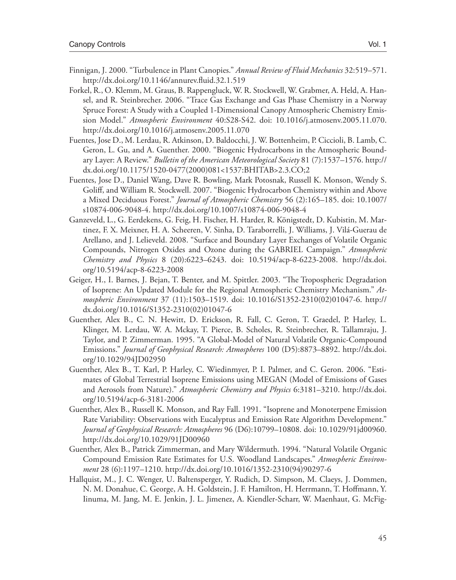- Finnigan, J. 2000. "Turbulence in Plant Canopies." *Annual Review of Fluid Mechanics* 32:519–571. http://dx.doi.org/10.1146/annurev.fluid.32.1.519
- Forkel, R., O. Klemm, M. Graus, B. Rappengluck, W. R. Stockwell, W. Grabmer, A. Held, A. Hansel, and R. Steinbrecher. 2006. "Trace Gas Exchange and Gas Phase Chemistry in a Norway Spruce Forest: A Study with a Coupled 1-Dimensional Canopy Atmospheric Chemistry Emission Model." *Atmospheric Environment* 40:S28-S42. doi: 10.1016/j.atmosenv.2005.11.070. http://dx.doi.org/10.1016/j.atmosenv.2005.11.070
- Fuentes, Jose D., M. Lerdau, R. Atkinson, D. Baldocchi, J. W. Bottenheim, P. Ciccioli, B. Lamb, C. Geron, L. Gu, and A. Guenther. 2000. "Biogenic Hydrocarbons in the Atmospheric Boundary Layer: A Review." *Bulletin of the American Meteorological Society* 81 (7):1537–1576. http:// dx.doi.org/10.1175/1520-0477(2000)081<1537:BHITAB>2.3.CO;2
- Fuentes, Jose D., Daniel Wang, Dave R. Bowling, Mark Potosnak, Russell K. Monson, Wendy S. Goliff, and William R. Stockwell. 2007. "Biogenic Hydrocarbon Chemistry within and Above a Mixed Deciduous Forest." *Journal of Atmospheric Chemistry* 56 (2):165–185. doi: 10.1007/ s10874-006-9048-4. http://dx.doi.org/10.1007/s10874-006-9048-4
- Ganzeveld, L., G. Eerdekens, G. Feig, H. Fischer, H. Harder, R. Königstedt, D. Kubistin, M. Martinez, F. X. Meixner, H. A. Scheeren, V. Sinha, D. Taraborrelli, J. Williams, J. Vilá-Guerau de Arellano, and J. Lelieveld. 2008. "Surface and Boundary Layer Exchanges of Volatile Organic Compounds, Nitrogen Oxides and Ozone during the GABRIEL Campaign." *Atmospheric Chemistry and Physics* 8 (20):6223–6243. doi: 10.5194/acp-8-6223-2008. http://dx.doi. org/10.5194/acp-8-6223-2008
- Geiger, H., I. Barnes, J. Bejan, T. Benter, and M. Spittler. 2003. "The Tropospheric Degradation of Isoprene: An Updated Module for the Regional Atmospheric Chemistry Mechanism." *Atmospheric Environment* 37 (11):1503–1519. doi: 10.1016/S1352-2310(02)01047-6. http:// dx.doi.org/10.1016/S1352-2310(02)01047-6
- Guenther, Alex B., C. N. Hewitt, D. Erickson, R. Fall, C. Geron, T. Graedel, P. Harley, L. Klinger, M. Lerdau, W. A. Mckay, T. Pierce, B. Scholes, R. Steinbrecher, R. Tallamraju, J. Taylor, and P. Zimmerman. 1995. "A Global-Model of Natural Volatile Organic-Compound Emissions." *Journal of Geophysical Research: Atmospheres* 100 (D5):8873–8892. http://dx.doi. org/10.1029/94JD02950
- Guenther, Alex B., T. Karl, P. Harley, C. Wiedinmyer, P. I. Palmer, and C. Geron. 2006. "Estimates of Global Terrestrial Isoprene Emissions using MEGAN (Model of Emissions of Gases and Aerosols from Nature)." *Atmospheric Chemistry and Physics* 6:3181–3210. http://dx.doi. org/10.5194/acp-6-3181-2006
- Guenther, Alex B., Russell K. Monson, and Ray Fall. 1991. "Isoprene and Monoterpene Emission Rate Variability: Observations with Eucalyptus and Emission Rate Algorithm Development." *Journal of Geophysical Research: Atmospheres* 96 (D6):10799–10808. doi: 10.1029/91jd00960. http://dx.doi.org/10.1029/91JD00960
- Guenther, Alex B., Patrick Zimmerman, and Mary Wildermuth. 1994. "Natural Volatile Organic Compound Emission Rate Estimates for U.S. Woodland Landscapes." *Atmospheric Environment* 28 (6):1197–1210. http://dx.doi.org/10.1016/1352-2310(94)90297-6
- Hallquist, M., J. C. Wenger, U. Baltensperger, Y. Rudich, D. Simpson, M. Claeys, J. Dommen, N. M. Donahue, C. George, A. H. Goldstein, J. F. Hamilton, H. Herrmann, T. Hoffmann, Y. Iinuma, M. Jang, M. E. Jenkin, J. L. Jimenez, A. Kiendler-Scharr, W. Maenhaut, G. McFig-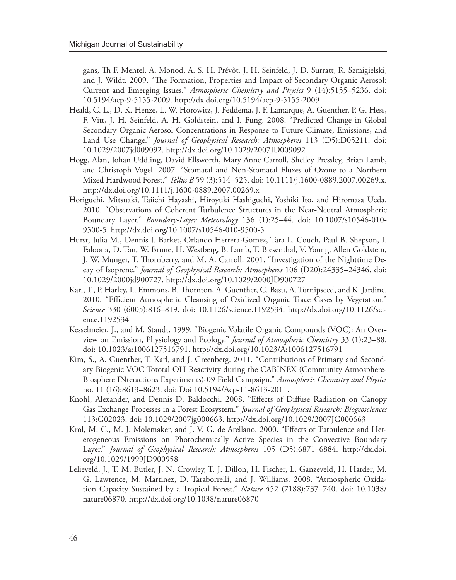gans, Th F. Mentel, A. Monod, A. S. H. Prévôt, J. H. Seinfeld, J. D. Surratt, R. Szmigielski, and J. Wildt. 2009. "The Formation, Properties and Impact of Secondary Organic Aerosol: Current and Emerging Issues." *Atmospheric Chemistry and Physics* 9 (14):5155–5236. doi: 10.5194/acp-9-5155-2009. http://dx.doi.org/10.5194/acp-9-5155-2009

- Heald, C. L., D. K. Henze, L. W. Horowitz, J. Feddema, J. F. Lamarque, A. Guenther, P. G. Hess, F. Vitt, J. H. Seinfeld, A. H. Goldstein, and I. Fung. 2008. "Predicted Change in Global Secondary Organic Aerosol Concentrations in Response to Future Climate, Emissions, and Land Use Change." *Journal of Geophysical Research: Atmospheres* 113 (D5):D05211. doi: 10.1029/2007jd009092. http://dx.doi.org/10.1029/2007JD009092
- Hogg, Alan, Johan Uddling, David Ellsworth, Mary Anne Carroll, Shelley Pressley, Brian Lamb, and Christoph Vogel. 2007. "Stomatal and Non-Stomatal Fluxes of Ozone to a Northern Mixed Hardwood Forest." *Tellus B* 59 (3):514–525. doi: 10.1111/j.1600-0889.2007.00269.x. http://dx.doi.org/10.1111/j.1600-0889.2007.00269.x
- Horiguchi, Mitsuaki, Taiichi Hayashi, Hiroyuki Hashiguchi, Yoshiki Ito, and Hiromasa Ueda. 2010. "Observations of Coherent Turbulence Structures in the Near-Neutral Atmospheric Boundary Layer." *Boundary-Layer Meteorology* 136 (1):25–44. doi: 10.1007/s10546-010- 9500-5. http://dx.doi.org/10.1007/s10546-010-9500-5
- Hurst, Julia M., Dennis J. Barket, Orlando Herrera-Gomez, Tara L. Couch, Paul B. Shepson, I. Faloona, D. Tan, W. Brune, H. Westberg, B. Lamb, T. Biesenthal, V. Young, Allen Goldstein, J. W. Munger, T. Thornberry, and M. A. Carroll. 2001. "Investigation of the Nighttime Decay of Isoprene." *Journal of Geophysical Research: Atmospheres* 106 (D20):24335–24346. doi: 10.1029/2000jd900727. http://dx.doi.org/10.1029/2000JD900727
- Karl, T., P. Harley, L. Emmons, B. Thornton, A. Guenther, C. Basu, A. Turnipseed, and K. Jardine. 2010. "Efficient Atmospheric Cleansing of Oxidized Organic Trace Gases by Vegetation." *Science* 330 (6005):816–819. doi: 10.1126/science.1192534. http://dx.doi.org/10.1126/science.1192534
- Kesselmeier, J., and M. Staudt. 1999. "Biogenic Volatile Organic Compounds (VOC): An Overview on Emission, Physiology and Ecology." *Journal of Atmospheric Chemistry* 33 (1):23–88. doi: 10.1023/a:1006127516791. http://dx.doi.org/10.1023/A:1006127516791
- Kim, S., A. Guenther, T. Karl, and J. Greenberg. 2011. "Contributions of Primary and Secondary Biogenic VOC Tototal OH Reactivity during the CABINEX (Community Atmosphere-Biosphere INteractions Experiments)-09 Field Campaign." *Atmospheric Chemistry and Physics* no. 11 (16):8613–8623. doi: Doi 10.5194/Acp-11-8613-2011.
- Knohl, Alexander, and Dennis D. Baldocchi. 2008. "Effects of Diffuse Radiation on Canopy Gas Exchange Processes in a Forest Ecosystem." *Journal of Geophysical Research: Biogeosciences* 113:G02023. doi: 10.1029/2007jg000663. http://dx.doi.org/10.1029/2007JG000663
- Krol, M. C., M. J. Molemaker, and J. V. G. de Arellano. 2000. "Effects of Turbulence and Heterogeneous Emissions on Photochemically Active Species in the Convective Boundary Layer." *Journal of Geophysical Research: Atmospheres* 105 (D5):6871–6884. http://dx.doi. org/10.1029/1999JD900958
- Lelieveld, J., T. M. Butler, J. N. Crowley, T. J. Dillon, H. Fischer, L. Ganzeveld, H. Harder, M. G. Lawrence, M. Martinez, D. Taraborrelli, and J. Williams. 2008. "Atmospheric Oxidation Capacity Sustained by a Tropical Forest." *Nature* 452 (7188):737–740. doi: 10.1038/ nature06870. http://dx.doi.org/10.1038/nature06870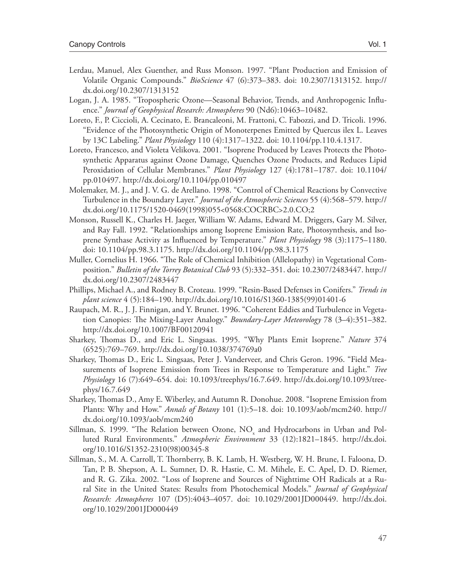- Lerdau, Manuel, Alex Guenther, and Russ Monson. 1997. "Plant Production and Emission of Volatile Organic Compounds." *BioScience* 47 (6):373–383. doi: 10.2307/1313152. http:// dx.doi.org/10.2307/1313152
- Logan, J. A. 1985. "Tropospheric Ozone—Seasonal Behavior, Trends, and Anthropogenic Influence." *Journal of Geophysical Research: Atmospheres* 90 (Nd6):10463–10482.
- Loreto, F., P. Ciccioli, A. Cecinato, E. Brancaleoni, M. Frattoni, C. Fabozzi, and D. Tricoli. 1996. "Evidence of the Photosynthetic Origin of Monoterpenes Emitted by Quercus ilex L. Leaves by 13C Labeling." *Plant Physiology* 110 (4):1317–1322. doi: 10.1104/pp.110.4.1317.
- Loreto, Francesco, and Violeta Velikova. 2001. "Isoprene Produced by Leaves Protects the Photosynthetic Apparatus against Ozone Damage, Quenches Ozone Products, and Reduces Lipid Peroxidation of Cellular Membranes." *Plant Physiology* 127 (4):1781–1787. doi: 10.1104/ pp.010497. http://dx.doi.org/10.1104/pp.010497
- Molemaker, M. J., and J. V. G. de Arellano. 1998. "Control of Chemical Reactions by Convective Turbulence in the Boundary Layer." *Journal of the Atmospheric Sciences* 55 (4):568–579. http:// dx.doi.org/10.1175/1520-0469(1998)055<0568:COCRBC>2.0.CO;2
- Monson, Russell K., Charles H. Jaeger, William W. Adams, Edward M. Driggers, Gary M. Silver, and Ray Fall. 1992. "Relationships among Isoprene Emission Rate, Photosynthesis, and Isoprene Synthase Activity as Influenced by Temperature." *Plant Physiology* 98 (3):1175–1180. doi: 10.1104/pp.98.3.1175. http://dx.doi.org/10.1104/pp.98.3.1175
- Muller, Cornelius H. 1966. "The Role of Chemical Inhibition (Allelopathy) in Vegetational Composition." *Bulletin of the Torrey Botanical Club* 93 (5):332–351. doi: 10.2307/2483447. http:// dx.doi.org/10.2307/2483447
- Phillips, Michael A., and Rodney B. Croteau. 1999. "Resin-Based Defenses in Conifers." *Trends in plant science* 4 (5):184–190. http://dx.doi.org/10.1016/S1360-1385(99)01401-6
- Raupach, M. R., J. J. Finnigan, and Y. Brunet. 1996. "Coherent Eddies and Turbulence in Vegetation Canopies: The Mixing-Layer Analogy." *Boundary-Layer Meteorology* 78 (3–4):351–382. http://dx.doi.org/10.1007/BF00120941
- Sharkey, Thomas D., and Eric L. Singsaas. 1995. "Why Plants Emit Isoprene." *Nature* 374 (6525):769–769. http://dx.doi.org/10.1038/374769a0
- Sharkey, Thomas D., Eric L. Singsaas, Peter J. Vanderveer, and Chris Geron. 1996. "Field Measurements of Isoprene Emission from Trees in Response to Temperature and Light." *Tree Physiology* 16 (7):649–654. doi: 10.1093/treephys/16.7.649. http://dx.doi.org/10.1093/treephys/16.7.649
- Sharkey, Thomas D., Amy E. Wiberley, and Autumn R. Donohue. 2008. "Isoprene Emission from Plants: Why and How." *Annals of Botany* 101 (1):5–18. doi: 10.1093/aob/mcm240. http:// dx.doi.org/10.1093/aob/mcm240
- Sillman, S. 1999. "The Relation between Ozone,  $\rm NO_{x}$  and Hydrocarbons in Urban and Polluted Rural Environments." *Atmospheric Environment* 33 (12):1821–1845. http://dx.doi. org/10.1016/S1352-2310(98)00345-8
- Sillman, S., M. A. Carroll, T. Thornberry, B. K. Lamb, H. Westberg, W. H. Brune, I. Faloona, D. Tan, P. B. Shepson, A. L. Sumner, D. R. Hastie, C. M. Mihele, E. C. Apel, D. D. Riemer, and R. G. Zika. 2002. "Loss of Isoprene and Sources of Nighttime OH Radicals at a Rural Site in the United States: Results from Photochemical Models." *Journal of Geophysical Research: Atmospheres* 107 (D5):4043–4057. doi: 10.1029/2001JD000449. http://dx.doi. org/10.1029/2001JD000449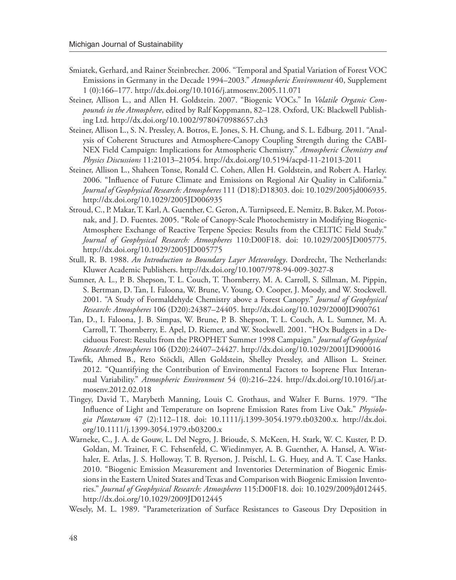- Smiatek, Gerhard, and Rainer Steinbrecher. 2006. "Temporal and Spatial Variation of Forest VOC Emissions in Germany in the Decade 1994–2003." *Atmospheric Environment* 40, Supplement 1 (0):166–177. http://dx.doi.org/10.1016/j.atmosenv.2005.11.071
- Steiner, Allison L., and Allen H. Goldstein. 2007. "Biogenic VOCs." In *Volatile Organic Compounds in the Atmosphere*, edited by Ralf Koppmann, 82–128. Oxford, UK: Blackwell Publishing Ltd. http://dx.doi.org/10.1002/9780470988657.ch3
- Steiner, Allison L., S. N. Pressley, A. Botros, E. Jones, S. H. Chung, and S. L. Edburg. 2011. "Analysis of Coherent Structures and Atmosphere-Canopy Coupling Strength during the CABI-NEX Field Campaign: Implications for Atmospheric Chemistry." *Atmospheric Chemistry and Physics Discussions* 11:21013–21054. http://dx.doi.org/10.5194/acpd-11-21013-2011
- Steiner, Allison L., Shaheen Tonse, Ronald C. Cohen, Allen H. Goldstein, and Robert A. Harley. 2006. "Influence of Future Climate and Emissions on Regional Air Quality in California." *Journal of Geophysical Research: Atmospheres* 111 (D18):D18303. doi: 10.1029/2005jd006935. http://dx.doi.org/10.1029/2005JD006935
- Stroud, C., P. Makar, T. Karl, A. Guenther, C. Geron, A. Turnipseed, E. Nemitz, B. Baker, M. Potosnak, and J. D. Fuentes. 2005. "Role of Canopy-Scale Photochemistry in Modifying Biogenic-Atmosphere Exchange of Reactive Terpene Species: Results from the CELTIC Field Study." *Journal of Geophysical Research: Atmospheres* 110:D00F18. doi: 10.1029/2005JD005775. http://dx.doi.org/10.1029/2005JD005775
- Stull, R. B. 1988. *An Introduction to Boundary Layer Meteorology*. Dordrecht, The Netherlands: Kluwer Academic Publishers. http://dx.doi.org/10.1007/978-94-009-3027-8
- Sumner, A. L., P. B. Shepson, T. L. Couch, T. Thornberry, M. A. Carroll, S. Sillman, M. Pippin, S. Bertman, D. Tan, I. Faloona, W. Brune, V. Young, O. Cooper, J. Moody, and W. Stockwell. 2001. "A Study of Formaldehyde Chemistry above a Forest Canopy." *Journal of Geophysical Research: Atmospheres* 106 (D20):24387–24405. http://dx.doi.org/10.1029/2000JD900761
- Tan, D., I. Faloona, J. B. Simpas, W. Brune, P. B. Shepson, T. L. Couch, A. L. Sumner, M. A. Carroll, T. Thornberry, E. Apel, D. Riemer, and W. Stockwell. 2001. "HOx Budgets in a Deciduous Forest: Results from the PROPHET Summer 1998 Campaign." *Journal of Geophysical Research: Atmospheres* 106 (D20):24407–24427. http://dx.doi.org/10.1029/2001JD900016
- Tawfik, Ahmed B., Reto Stöckli, Allen Goldstein, Shelley Pressley, and Allison L. Steiner. 2012. "Quantifying the Contribution of Environmental Factors to Isoprene Flux Interannual Variability." *Atmospheric Environment* 54 (0):216–224. http://dx.doi.org/10.1016/j.atmosenv.2012.02.018
- Tingey, David T., Marybeth Manning, Louis C. Grothaus, and Walter F. Burns. 1979. "The Influence of Light and Temperature on Isoprene Emission Rates from Live Oak." *Physiologia Plantarum* 47 (2):112–118. doi: 10.1111/j.1399-3054.1979.tb03200.x. http://dx.doi. org/10.1111/j.1399-3054.1979.tb03200.x
- Warneke, C., J. A. de Gouw, L. Del Negro, J. Brioude, S. McKeen, H. Stark, W. C. Kuster, P. D. Goldan, M. Trainer, F. C. Fehsenfeld, C. Wiedinmyer, A. B. Guenther, A. Hansel, A. Wisthaler, E. Atlas, J. S. Holloway, T. B. Ryerson, J. Peischl, L. G. Huey, and A. T. Case Hanks. 2010. "Biogenic Emission Measurement and Inventories Determination of Biogenic Emissions in the Eastern United States and Texas and Comparison with Biogenic Emission Inventories." *Journal of Geophysical Research: Atmospheres* 115:D00F18. doi: 10.1029/2009jd012445. http://dx.doi.org/10.1029/2009JD012445
- Wesely, M. L. 1989. "Parameterization of Surface Resistances to Gaseous Dry Deposition in